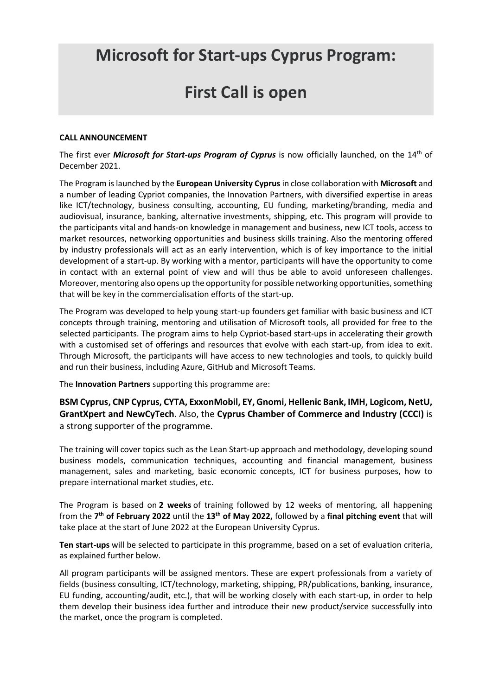## **Microsoft for Start-ups Cyprus Program:**

# **First Call is open**

#### **CALL ANNOUNCEMENT**

The first ever *Microsoft for Start-ups Program of Cyprus* is now officially launched, on the 14th of December 2021.

The Program is launched by the **European University Cyprus** in close collaboration with **Microsoft** and a number of leading Cypriot companies, the Innovation Partners, with diversified expertise in areas like ICT/technology, business consulting, accounting, EU funding, marketing/branding, media and audiovisual, insurance, banking, alternative investments, shipping, etc. This program will provide to the participants vital and hands-on knowledge in management and business, new ICT tools, access to market resources, networking opportunities and business skills training. Also the mentoring offered by industry professionals will act as an early intervention, which is of key importance to the initial development of a start-up. By working with a mentor, participants will have the opportunity to come in contact with an external point of view and will thus be able to avoid unforeseen challenges. Moreover, mentoring also opens up the opportunity for possible networking opportunities, something that will be key in the commercialisation efforts of the start-up.

The Program was developed to help young start-up founders get familiar with basic business and ICT concepts through training, mentoring and utilisation of Microsoft tools, all provided for free to the selected participants. The program aims to help Cypriot-based start-ups in accelerating their growth with a customised set of offerings and resources that evolve with each start-up, from idea to exit. Through Microsoft, the participants will have access to new technologies and tools, to quickly build and run their business, including Azure, GitHub and Microsoft Teams.

The **Innovation Partners** supporting this programme are:

**BSM Cyprus, CNP Cyprus, CYTA, ExxonMobil, EY, Gnomi, Hellenic Bank, IMH, Logicom, NetU, GrantXpert and NewCyTech**. Also, the **Cyprus Chamber of Commerce and Industry (CCCI)** is a strong supporter of the programme.

The training will cover topics such as the Lean Start-up approach and methodology, developing sound business models, communication techniques, accounting and financial management, business management, sales and marketing, basic economic concepts, ICT for business purposes, how to prepare international market studies, etc.

The Program is based on **2 weeks** of training followed by 12 weeks of mentoring, all happening from the **7 th of February 2022** until the **13th of May 2022,** followed by a **final pitching event** that will take place at the start of June 2022 at the European University Cyprus.

**Ten start-ups** will be selected to participate in this programme, based on a set of evaluation criteria, as explained further below.

All program participants will be assigned mentors. These are expert professionals from a variety of fields (business consulting, ICT/technology, marketing, shipping, PR/publications, banking, insurance, EU funding, accounting/audit, etc.), that will be working closely with each start-up, in order to help them develop their business idea further and introduce their new product/service successfully into the market, once the program is completed.